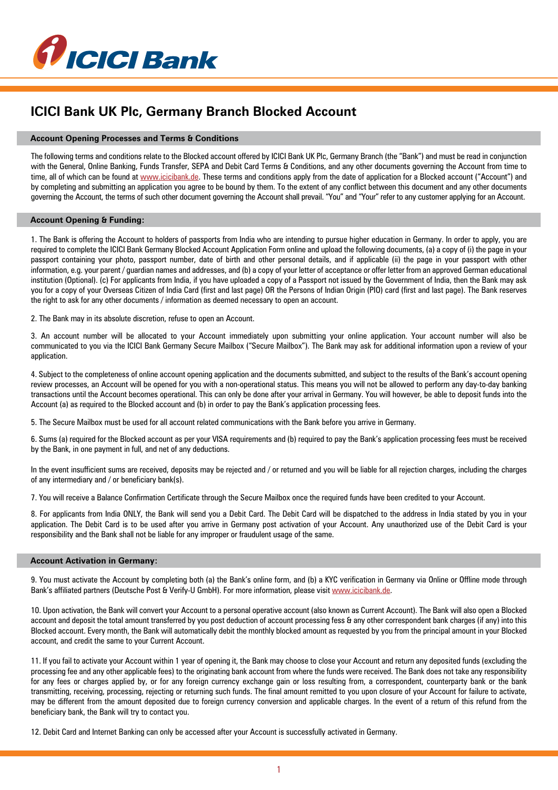

# **ICICI Bank UK Plc, Germany Branch Blocked Account**

## **Account Opening Processes and Terms & Conditions**

The following terms and conditions relate to the Blocked account offered by ICICI Bank UK Plc, Germany Branch (the "Bank") and must be read in conjunction with the General, Online Banking, Funds Transfer, SEPA and Debit Card Terms & Conditions, and any other documents governing the Account from time to time, all of which can be found at www.icicibank.de. These terms and conditions apply from the date of application for a Blocked account ("Account") and by completing and submitting an application you agree to be bound by them. To the extent of any conflict between this document and any other documents governing the Account, the terms of such other document governing the Account shall prevail. "You" and "Your" refer to any customer applying for an Account.

# **Account Opening & Funding:**

1. The Bank is offering the Account to holders of passports from India who are intending to pursue higher education in Germany. In order to apply, you are required to complete the ICICI Bank Germany Blocked Account Application Form online and upload the following documents, (a) a copy of (i) the page in your passport containing your photo, passport number, date of birth and other personal details, and if applicable (ii) the page in your passport with other information, e.g. your parent / guardian names and addresses, and (b) a copy of your letter of acceptance or offer letter from an approved German educational institution (Optional). (c) For applicants from India, if you have uploaded a copy of a Passport not issued by the Government of India, then the Bank may ask you for a copy of your Overseas Citizen of India Card (first and last page) OR the Persons of Indian Origin (PIO) card (first and last page). The Bank reserves the right to ask for any other documents / information as deemed necessary to open an account.

2. The Bank may in its absolute discretion, refuse to open an Account.

3. An account number will be allocated to your Account immediately upon submitting your online application. Your account number will also be communicated to you via the ICICI Bank Germany Secure Mailbox ("Secure Mailbox"). The Bank may ask for additional information upon a review of your application.

4. Subject to the completeness of online account opening application and the documents submitted, and subject to the results of the Bank's account opening review processes, an Account will be opened for you with a non-operational status. This means you will not be allowed to perform any day-to-day banking transactions until the Account becomes operational. This can only be done after your arrival in Germany. You will however, be able to deposit funds into the Account (a) as required to the Blocked account and (b) in order to pay the Bank's application processing fees.

5. The Secure Mailbox must be used for all account related communications with the Bank before you arrive in Germany.

6. Sums (a) required for the Blocked account as per your VISA requirements and (b) required to pay the Bank's application processing fees must be received by the Bank, in one payment in full, and net of any deductions.

In the event insufficient sums are received, deposits may be rejected and / or returned and you will be liable for all rejection charges, including the charges of any intermediary and / or beneficiary bank(s).

7. You will receive a Balance Confirmation Certificate through the Secure Mailbox once the required funds have been credited to your Account.

8. For applicants from India ONLY, the Bank will send you a Debit Card. The Debit Card will be dispatched to the address in India stated by you in your application. The Debit Card is to be used after you arrive in Germany post activation of your Account. Any unauthorized use of the Debit Card is your responsibility and the Bank shall not be liable for any improper or fraudulent usage of the same.

#### **Account Activation in Germany:**

9. You must activate the Account by completing both (a) the Bank's online form, and (b) a KYC verification in Germany via Online or Offline mode through Bank's affiliated partners (Deutsche Post & Verify-U GmbH). For more information, please visit www.icicibank.de.

10. Upon activation, the Bank will convert your Account to a personal operative account (also known as Current Account). The Bank will also open a Blocked account and deposit the total amount transferred by you post deduction of account processing fess & any other correspondent bank charges (if any) into this Blocked account. Every month, the Bank will automatically debit the monthly blocked amount as requested by you from the principal amount in your Blocked account, and credit the same to your Current Account.

11. If you fail to activate your Account within 1 year of opening it, the Bank may choose to close your Account and return any deposited funds (excluding the processing fee and any other applicable fees) to the originating bank account from where the funds were received. The Bank does not take any responsibility for any fees or charges applied by, or for any foreign currency exchange gain or loss resulting from, a correspondent, counterparty bank or the bank transmitting, receiving, processing, rejecting or returning such funds. The final amount remitted to you upon closure of your Account for failure to activate, may be different from the amount deposited due to foreign currency conversion and applicable charges. In the event of a return of this refund from the beneficiary bank, the Bank will try to contact you.

12. Debit Card and Internet Banking can only be accessed after your Account is successfully activated in Germany.